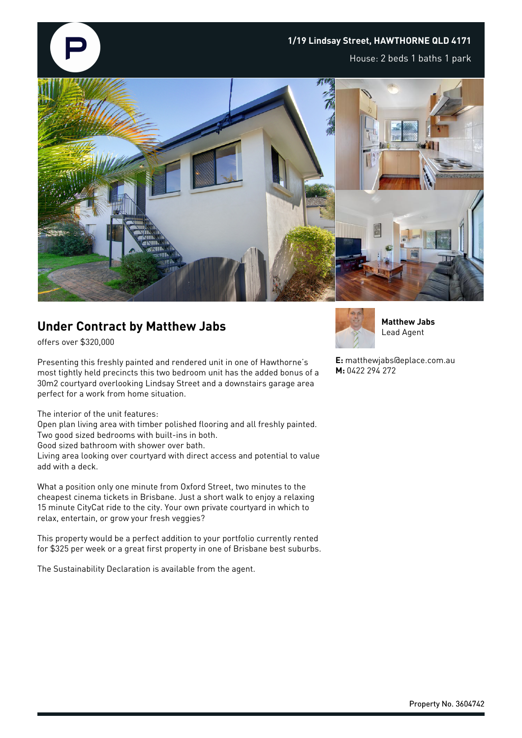

## **Under Contract by Matthew Jabs**

offers over \$320,000

Presenting this freshly painted and rendered unit in one of Hawthorne's most tightly held precincts this two bedroom unit has the added bonus of a 30m2 courtyard overlooking Lindsay Street and a downstairs garage area perfect for a work from home situation.

The interior of the unit features:

Open plan living area with timber polished flooring and all freshly painted.

Two good sized bedrooms with built-ins in both. Good sized bathroom with shower over bath.

Living area looking over courtyard with direct access and potential to value add with a deck.

What a position only one minute from Oxford Street, two minutes to the cheapest cinema tickets in Brisbane. Just a short walk to enjoy a relaxing 15 minute CityCat ride to the city. Your own private courtyard in which to relax, entertain, or grow your fresh veggies?

This property would be a perfect addition to your portfolio currently rented for \$325 per week or a great first property in one of Brisbane best suburbs.

The Sustainability Declaration is available from the agent.



**Matthew Jabs** Lead Agent

**E:** matthewjabs@eplace.com.au **M:** 0422 294 272